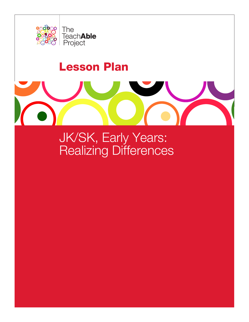

# Lesson Plan

JK/SK, Early Years: Realizing Differences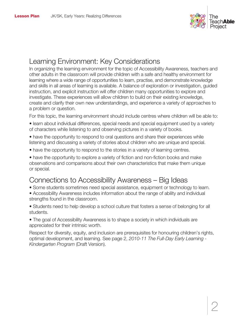

# Learning Environment: Key Considerations

In organizing the learning environment for the topic of Accessibility Awareness, teachers and other adults in the classroom will provide children with a safe and healthy environment for learning where a wide range of opportunities to learn, practise, and demonstrate knowledge and skills in all areas of learning is available. A balance of exploration or investigation, guided instruction, and explicit instruction will offer children many opportunities to explore and investigate. These experiences will allow children to build on their existing knowledge, create and clarify their own new understandings, and experience a variety of approaches to a problem or question.

For this topic, the learning environment should include centres where children will be able to:

- learn about individual differences, special needs and special equipment used by a variety of characters while listening to and observing pictures in a variety of books.
- have the opportunity to respond to oral questions and share their experiences while listening and discussing a variety of stories about children who are unique and special.
- have the opportunity to respond to the stories in a variety of learning centres.

• have the opportunity to explore a variety of fiction and non-fiction books and make observations and comparisons about their own characteristics that make them unique or special.

# Connections to Accessibility Awareness – Big Ideas

- Some students sometimes need special assistance, equipment or technology to learn.
- Accessibility Awareness includes information about the range of ability and individual strengths found in the classroom.

• Students need to help develop a school culture that fosters a sense of belonging for all students.

• The goal of Accessibility Awareness is to shape a society in which individuals are appreciated for their intrinsic worth.

Respect for diversity, equity, and inclusion are prerequisites for honouring children's rights, optimal development, and learning. See page 2, *2010-11 The Full-Day Early Learning - Kindergarten Program* (Draft Version).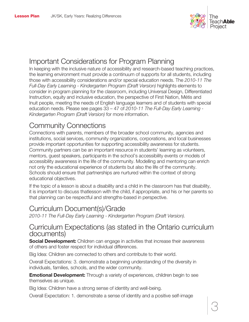

# Important Considerations for Program Planning

In keeping with the inclusive nature of accessibility and research-based teaching practices, the learning environment must provide a continuum of supports for all students, including those with accessibility considerations and/or special education needs. The *2010-11 The Full-Day Early Learning - Kindergarten Program (Draft Version)* highlights elements to consider in program planning for the classroom, including Universal Design, Differentiated Instruction, equity and inclusive education, the perspective of First Nation, Métis and Inuit people, meeting the needs of English language learners and of students with special education needs. Please see pages 33 – 47 of *2010-11 The Full-Day Early Learning - Kindergarten Program (Draft Version)* for more information.

# Community Connections

Connections with parents, members of the broader school community, agencies and institutions, social services, community organizations, corporations, and local businesses provide important opportunities for supporting accessibility awareness for students. Community partners can be an important resource in students' learning as volunteers, mentors, guest speakers, participants in the school's accessibility events or models of accessibility awareness in the life of the community. Modelling and mentoring can enrich not only the educational experience of students but also the life of the community. Schools should ensure that partnerships are nurtured within the context of strong educational objectives.

If the topic of a lesson is about a disability and a child in the classroom has that disability, it is important to discuss thatlesson with the child, if appropriate, and his or her parents so that planning can be respectful and strengths-based in perspective.

### Curriculum Document(s)/Grade

*2010-11 The Full-Day Early Learning - Kindergarten Program (Draft Version).*

### Curriculum Expectations (as stated in the Ontario curriculum documents)

Social Development: Children can engage in activities that increase their awareness of others and foster respect for individual differences.

Big Idea: Children are connected to others and contribute to their world.

Overall Expectations: 3. demonstrate a beginning understanding of the diversity in individuals, families, schools, and the wider community.

**Emotional Development:** Through a variety of experiences, children begin to see themselves as unique.

Big Idea: Children have a strong sense of identity and well-being.

Overall Expectation: 1. demonstrate a sense of identity and a positive self-image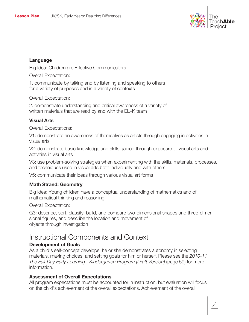

#### Language

Big Idea: Children are Effective Communicators

Overall Expectation:

1. communicate by talking and by listening and speaking to others for a variety of purposes and in a variety of contexts

Overall Expectation:

2. demonstrate understanding and critical awareness of a variety of written materials that are read by and with the EL–K team

#### Visual Arts

Overall Expectations:

V1: demonstrate an awareness of themselves as artists through engaging in activities in visual arts

V2: demonstrate basic knowledge and skills gained through exposure to visual arts and activities in visual arts

V3: use problem-solving strategies when experimenting with the skills, materials, processes, and techniques used in visual arts both individually and with others

V5: communicate their ideas through various visual art forms

#### Math Strand: Geometry

Big Idea: Young children have a conceptual understanding of mathematics and of mathematical thinking and reasoning.

Overall Expectation:

G3: describe, sort, classify, build, and compare two-dimensional shapes and three-dimensional figures, and describe the location and movement of objects through investigation

# Instructional Components and Context

#### Development of Goals

As a child's self-concept develops, he or she demonstrates autonomy in selecting materials, making choices, and setting goals for him or herself. Please see the *2010-11 The Full-Day Early Learning - Kindergarten Program (Draft Version)* (page 59) for more information.

#### Assessment of Overall Expectations

All program expectations must be accounted for in instruction, but evaluation will focus on the child's achievement of the overall expectations. Achievement of the overall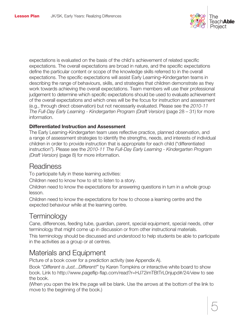

expectations is evaluated on the basis of the child's achievement of related specific expectations. The overall expectations are broad in nature, and the specific expectations define the particular content or scope of the knowledge skills referred to in the overall expectations. The specific expectations will assist Early Learning–Kindergarten teams in describing the range of behaviours, skills, and strategies that children demonstrate as they work towards achieving the overall expectations. Team members will use their professional judgement to determine which specific expectations should be used to evaluate achievement of the overall expectations and which ones will be the focus for instruction and assessment (e.g., through direct observation) but not necessarily evaluated. Please see the *2010-11 The Full-Day Early Learning - Kindergarten Program (Draft Version)* (page 28 – 31) for more information.

#### Differentiated Instruction and Assessment

The Early Learning-Kindergarten team uses reflective practice, planned observation, and a range of assessment strategies to identify the strengths, needs, and interests of individual children in order to provide instruction that is appropriate for each child ("differentiated instruction"). Please see the *2010-11 The Full-Day Early Learning - Kindergarten Program (Draft Version)* (page 8) for more information.

### **Readiness**

To participate fully in these learning activities:

Children need to know how to sit to listen to a story.

Children need to know the expectations for answering questions in turn in a whole group lesson.

Children need to know the expectations for how to choose a learning centre and the expected behaviour while at the learning centre.

# **Terminology**

Cane, differences, feeding tube, guardian, parent, special equipment, special needs, other terminology that might come up in discussion or from other instructional materials.

This terminology should be discussed and understood to help students be able to participate in the activities as a group or at centres.

# Materials and Equipment

Picture of a book cover for a prediction activity (see Appendix A).

Book "*Different is Just...Different!*" by Karen Tompkins or interactive white board to show book. Link to http://www.pageflip-flap.com/read?r=HJ72imTBtTrL0njupd#/24/view to see the book.

(When you open the link the page will be blank. Use the arrows at the bottom of the link to move to the beginning of the book.)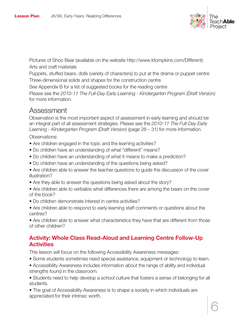

Pictures of Shoo Bear (available on the website http://www.ktompkins.com/Different) Arts and craft materials

Puppets, stuffed bears, dolls (variety of characters) to put at the drama or puppet centre Three-dimensional solids and shapes for the construction centre

See Appendix B for a list of suggested books for the reading centre

Please see the *2010-11 The Full-Day Early Learning - Kindergarten Program (Draft Version)* for more information.

### Assessment

Observation is the most important aspect of assessment in early learning and should be an integral part of all assessment strategies. Please see the *2010-11 The Full-Day Early Learning - Kindergarten Program (Draft Version)* (page 28 – 31) for more information.

Observations:

- Are children engaged in the topic and the learning activities?
- Do children have an understanding of what "different" means?
- Do children have an understanding of what it means to make a prediction?
- Do children have an understanding of the questions being asked?
- Are children able to answer the teacher questions to guide the discussion of the cover illustration?
- Are they able to answer the questions being asked about the story?
- Are children able to verbalize what differences there are among the bears on the cover of the book?
- Do children demonstrate interest in centre activities?
- Are children able to respond to early learning staff comments or questions about the centres?

• Are children able to answer what characteristics they have that are different from those of other children?

### Activity: Whole Class Read-Aloud and Learning Centre Follow-Up **Activities**

This lesson will focus on the following Accessibility Awareness messages:

- Some students sometimes need special assistance, equipment or technology to learn.
- Accessibility Awareness includes information about the range of ability and individual strengths found in the classroom.

• Students need to help develop a school culture that fosters a sense of belonging for all students.

• The goal of Accessibility Awareness is to shape a society in which individuals are appreciated for their intrinsic worth.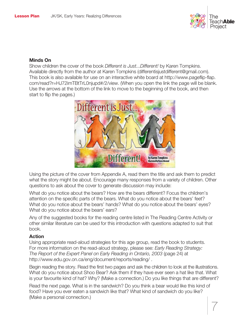

#### Minds On

Show children the cover of the book *Different is Just...Different!* by Karen Tompkins. Available directly from the author at Karen Tompkins (differentisjustdifferent@gmail.com). This book is also available for use on an interactive white board at http://www.pageflip-flap. com/read?r=HJ72imTBtTrL0njupd#/2/view. (When you open the link the page will be blank. Use the arrows at the bottom of the link to move to the beginning of the book, and then start to flip the pages.)



Using the picture of the cover from Appendix A, read them the title and ask them to predict what the story might be about. Encourage many responses from a variety of children. Other questions to ask about the cover to generate discussion may include:

What do you notice about the bears? How are the bears different? Focus the children's attention on the specific parts of the bears. What do you notice about the bears' feet? What do you notice about the bears' hands? What do you notice about the bears' eyes? What do you notice about the bears' ears?

Any of the suggested books for the reading centre listed in The Reading Centre Activity or other similar literature can be used for this introduction with questions adapted to suit that book.

#### Action

Using appropriate read-aloud strategies for this age group, read the book to students. For more information on the read-aloud strategy, please see: *Early Reading Strategy: The Report of the Expert Panel on Early Reading in Ontario, 2003* (page 24) at http://www.edu.gov.on.ca/eng/document/reports/reading/ .

Begin reading the story. Read the first two pages and ask the children to look at the illustrations. What do you notice about Shoo Bear? Ask them if they have ever seen a hat like that. What is your favourite kind of hat? Why? (Make a connection.) Do you like things that are different?

Read the next page. What is in the sandwich? Do you think a bear would like this kind of food? Have you ever eaten a sandwich like that? What kind of sandwich do you like? (Make a personal connection.)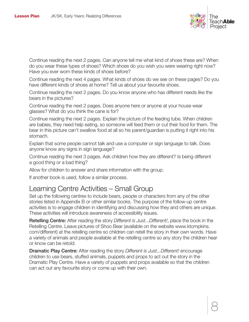

Continue reading the next 2 pages. Can anyone tell me what kind of shoes these are? When do you wear these types of shoes? Which shoes do you wish you were wearing right now? Have you ever worn these kinds of shoes before?

Continue reading the next 4 pages. What kinds of shoes do we see on these pages? Do you have different kinds of shoes at home? Tell us about your favourite shoes.

Continue reading the next 2 pages. Do you know anyone who has different needs like the bears in the pictures?

Continue reading the next 2 pages. Does anyone here or anyone at your house wear glasses? What do you think the cane is for?

Continue reading the next 2 pages. Explain the picture of the feeding tube. When children are babies, they need help eating, so someone will feed them or cut their food for them. The bear in this picture can't swallow food at all so his parent/guardian is putting it right into his stomach.

Explain that some people cannot talk and use a computer or sign language to talk. Does anyone know any signs in sign language?

Continue reading the next 3 pages. Ask children how they are different? Is being different a good thing or a bad thing?

Allow for children to answer and share information with the group.

If another book is used, follow a similar process.

### Learning Centre Activities – Small Group

Set up the following centres to include bears, people or characters from any of the other stories listed in Appendix B or other similar books. The purpose of the follow-up centre activities is to engage children in identifying and discussing how they and others are unique. These activities will introduce awareness of accessibility issues.

Retelling Centre: After reading the story *Different is Just...Different!*, place the book in the Retelling Centre. Leave pictures of Shoo Bear (available on the website www.ktompkins. com/different) at the retelling centre so children can retell the story in their own words. Have a variety of animals and people available at the retelling centre so any story the children hear or know can be retold.

Dramatic Play Centre: After reading the story *Different is Just...Different!* encourage children to use bears, stuffed animals, puppets and props to act out the story in the Dramatic Play Centre. Have a variety of puppets and props available so that the children can act out any favourite story or come up with their own.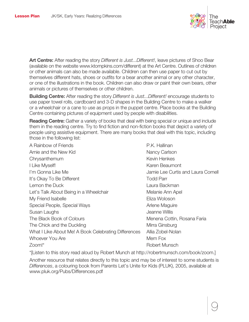

Art Centre: After reading the story *Different is Just...Different!*, leave pictures of Shoo Bear (available on the website www.ktompkins.com/different) at the Art Centre. Outlines of children or other animals can also be made available. Children can then use paper to cut out by themselves different hats, shoes or outfits for a bear another animal or any other character, or one of the illustrations in the book. Children can also draw or paint their own bears, other animals or pictures of themselves or other children.

Building Centre: After reading the story *Different is Just...Different!* encourage students to use paper towel rolls, cardboard and 3-D shapes in the Building Centre to make a walker or a wheelchair or a cane to use as props in the puppet centre. Place books at the Building Centre containing pictures of equipment used by people with disabilities.

Reading Centre: Gather a variety of books that deal with being special or unique and include them in the reading centre. Try to find fiction and non-fiction books that depict a variety of people using assistive equipment. There are many books that deal with this topic, including those in the following list:

- A Rainbow of Friends **P.K. Hallinan** Arnie and the New Kid Nancy Carlson Chrysanthemum **Kevin Henkes** I Like Myself! Karen Beaumont I'm Gonna Like Me Jamie Lee Curtis and Laura Cornell It's Okay To Be Different Todd Parr Lemon the Duck **Laura Backman** Let's Talk About Being in a Wheelchair **Melanie Ann Apel** My Friend Isabelle **Eliza Woloson** Special People, Special Ways Arlene Maguire Susan Laughs Jeanne Willis The Black Book of Colours **Menena Cottin, Rosana Faria** The Chick and the Duckling Mirra Ginsburg Mirra Ginsburg What I Like About Me! A Book Celebrating Differences Allia Zobel-Nolan Whoever You Are Mem Fox Zoom!\* Robert Munsch
- 

\*[Listen to this story read aloud by Robert Munch at http://robertmunsch.com/book/zoom.]

Another resource that relates directly to this topic and may be of interest to some students is *Differences*, a colouring book from Parents Let's Unite for Kids (PLUK), 2005, available at www.pluk.org/Pubs/Differences.pdf